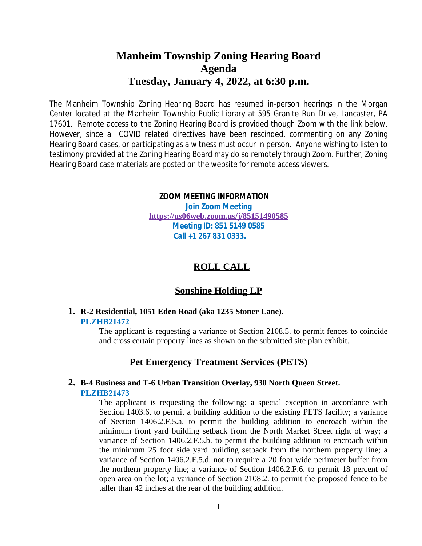# **Manheim Township Zoning Hearing Board Agenda Tuesday, January 4, 2022, at 6:30 p.m.**

The Manheim Township Zoning Hearing Board has resumed in-person hearings in the Morgan Center located at the Manheim Township Public Library at 595 Granite Run Drive, Lancaster, PA 17601. Remote access to the Zoning Hearing Board is provided though Zoom with the link below. However, since all COVID related directives have been rescinded, commenting on any Zoning Hearing Board cases, or participating as a witness must occur in person. Anyone wishing to listen to testimony provided at the Zoning Hearing Board may do so remotely through Zoom. Further, Zoning Hearing Board case materials are posted on the website for remote access viewers.

#### **ZOOM MEETING INFORMATION**

**Join Zoom Meeting <https://us06web.zoom.us/j/85151490585> Meeting ID: 851 5149 0585 Call +1 267 831 0333.**

## **ROLL CALL**

## **Sonshine Holding LP**

#### **1. R-2 Residential, 1051 Eden Road (aka 1235 Stoner Lane). PLZHB21472**

The applicant is requesting a variance of Section 2108.5. to permit fences to coincide and cross certain property lines as shown on the submitted site plan exhibit.

## **Pet Emergency Treatment Services (PETS)**

### **2. B-4 Business and T-6 Urban Transition Overlay, 930 North Queen Street. PLZHB21473**

The applicant is requesting the following: a special exception in accordance with Section 1403.6. to permit a building addition to the existing PETS facility; a variance of Section 1406.2.F.5.a. to permit the building addition to encroach within the minimum front yard building setback from the North Market Street right of way; a variance of Section 1406.2.F.5.b. to permit the building addition to encroach within the minimum 25 foot side yard building setback from the northern property line; a variance of Section 1406.2.F.5.d. not to require a 20 foot wide perimeter buffer from the northern property line; a variance of Section 1406.2.F.6. to permit 18 percent of open area on the lot; a variance of Section 2108.2. to permit the proposed fence to be taller than 42 inches at the rear of the building addition.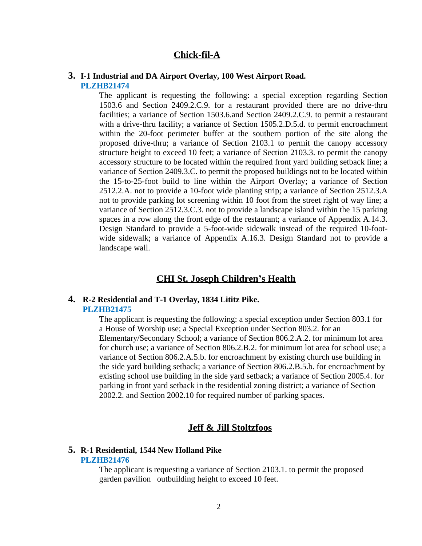## **Chick-fil-A**

#### **3. I-1 Industrial and DA Airport Overlay, 100 West Airport Road. PLZHB21474**

The applicant is requesting the following: a special exception regarding Section 1503.6 and Section 2409.2.C.9. for a restaurant provided there are no drive-thru facilities; a variance of Section 1503.6.and Section 2409.2.C.9. to permit a restaurant with a drive-thru facility; a variance of Section 1505.2.D.5.d. to permit encroachment within the 20-foot perimeter buffer at the southern portion of the site along the proposed drive-thru; a variance of Section 2103.1 to permit the canopy accessory structure height to exceed 10 feet; a variance of Section 2103.3. to permit the canopy accessory structure to be located within the required front yard building setback line; a variance of Section 2409.3.C. to permit the proposed buildings not to be located within the 15-to-25-foot build to line within the Airport Overlay; a variance of Section 2512.2.A. not to provide a 10-foot wide planting strip; a variance of Section 2512.3.A not to provide parking lot screening within 10 foot from the street right of way line; a variance of Section 2512.3.C.3. not to provide a landscape island within the 15 parking spaces in a row along the front edge of the restaurant; a variance of Appendix A.14.3. Design Standard to provide a 5-foot-wide sidewalk instead of the required 10-footwide sidewalk; a variance of Appendix A.16.3. Design Standard not to provide a landscape wall.

### **CHI St. Joseph Children's Health**

#### **4. R-2 Residential and T-1 Overlay, 1834 Lititz Pike. PLZHB21475**

The applicant is requesting the following: a special exception under Section 803.1 for a House of Worship use; a Special Exception under Section 803.2. for an Elementary/Secondary School; a variance of Section 806.2.A.2. for minimum lot area for church use; a variance of Section 806.2.B.2. for minimum lot area for school use; a variance of Section 806.2.A.5.b. for encroachment by existing church use building in the side yard building setback; a variance of Section 806.2.B.5.b. for encroachment by existing school use building in the side yard setback; a variance of Section 2005.4. for parking in front yard setback in the residential zoning district; a variance of Section 2002.2. and Section 2002.10 for required number of parking spaces.

#### **Jeff & Jill Stoltzfoos**

## **5. R-1 Residential, 1544 New Holland Pike**

#### **PLZHB21476**

The applicant is requesting a variance of Section 2103.1. to permit the proposed garden pavilion outbuilding height to exceed 10 feet.